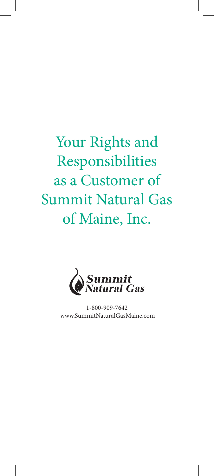# Your Rights and Responsibilities as a Customer of Summit Natural Gas of Maine, Inc.



1-800-909-7642 www.SummitNaturalGasMaine.com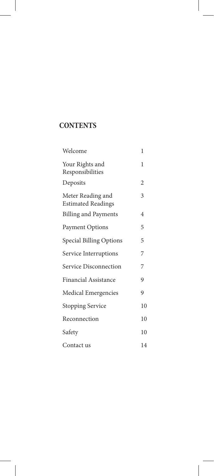# **CONTENTS**

| Welcome                                        | 1  |
|------------------------------------------------|----|
| Your Rights and<br>Responsibilities            | 1  |
| Deposits                                       | 2  |
| Meter Reading and<br><b>Estimated Readings</b> | 3  |
| <b>Billing and Payments</b>                    | 4  |
| Payment Options                                | 5  |
| Special Billing Options                        | 5  |
| Service Interruptions                          | 7  |
| Service Disconnection                          | 7  |
| <b>Financial Assistance</b>                    | 9  |
| Medical Emergencies                            | 9  |
| <b>Stopping Service</b>                        | 10 |
| Reconnection                                   | 10 |
| Safety                                         | 10 |
| Contact us                                     | 14 |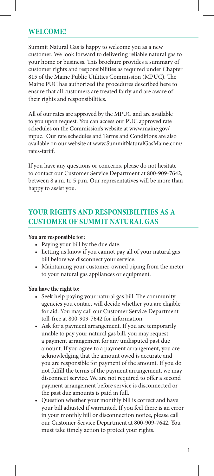## **WELCOME!**

Summit Natural Gas is happy to welcome you as a new customer. We look forward to delivering reliable natural gas to your home or business. This brochure provides a summary of customer rights and responsibilities as required under Chapter 815 of the Maine Public Utilities Commission (MPUC). The Maine PUC has authorized the procedures described here to ensure that all customers are treated fairly and are aware of their rights and responsibilities.

All of our rates are approved by the MPUC and are available to you upon request. You can access our PUC approved rate schedules on the Commission's website at www.maine.gov/ mpuc. Our rate schedules and Terms and Conditions are also available on our website at www.SummitNaturalGasMaine.com/ rates-tariff.

If you have any questions or concerns, please do not hesitate to contact our Customer Service Department at 800-909-7642, between 8 a.m. to 5 p.m. Our representatives will be more than happy to assist you.

## **YOUR RIGHTS AND RESPONSIBILITIES AS A CUSTOMER OF SUMMIT NATURAL GAS**

#### **You are responsible for:**

- Paying your bill by the due date.
- Letting us know if you cannot pay all of your natural gas bill before we disconnect your service.
- Maintaining your customer-owned piping from the meter to your natural gas appliances or equipment.

#### **You have the right to:**

- Seek help paying your natural gas bill. The community agencies you contact will decide whether you are eligible for aid. You may call our Customer Service Department toll-free at 800-909-7642 for information.
- Ask for a payment arrangement. If you are temporarily unable to pay your natural gas bill, you may request a payment arrangement for any undisputed past due amount. If you agree to a payment arrangement, you are acknowledging that the amount owed is accurate and you are responsible for payment of the amount. If you do not fulfill the terms of the payment arrangement, we may disconnect service. We are not required to offer a second payment arrangement before service is disconnected or the past due amounts is paid in full.
- Question whether your monthly bill is correct and have your bill adjusted if warranted. If you feel there is an error in your monthly bill or disconnection notice, please call our Customer Service Department at 800-909-7642. You must take timely action to protect your rights.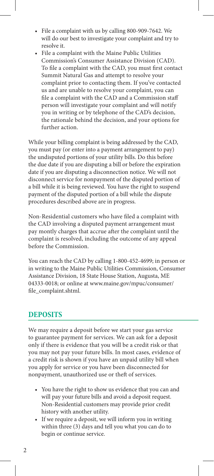- File a complaint with us by calling 800-909-7642. We will do our best to investigate your complaint and try to resolve it.
- File a complaint with the Maine Public Utilities Commission's Consumer Assistance Division (CAD). To file a complaint with the CAD, you must first contact Summit Natural Gas and attempt to resolve your complaint prior to contacting them. If you've contacted us and are unable to resolve your complaint, you can file a complaint with the CAD and a Commission staff person will investigate your complaint and will notify you in writing or by telephone of the CAD's decision, the rationale behind the decision, and your options for further action.

While your billing complaint is being addressed by the CAD, you must pay (or enter into a payment arrangement to pay) the undisputed portions of your utility bills. Do this before the due date if you are disputing a bill or before the expiration date if you are disputing a disconnection notice. We will not disconnect service for nonpayment of the disputed portion of a bill while it is being reviewed. You have the right to suspend payment of the disputed portion of a bill while the dispute procedures described above are in progress.

Non-Residential customers who have filed a complaint with the CAD involving a disputed payment arrangement must pay montly charges that accrue after the complaint until the complaint is resolved, including the outcome of any appeal before the Commission.

You can reach the CAD by calling 1-800-452-4699; in person or in writing to the Maine Public Utilities Commission, Consumer Assistance Division, 18 State House Station, Augusta, ME 04333-0018; or online at www.maine.gov/mpuc/consumer/ file\_complaint.shtml.

## **DEPOSITS**

We may require a deposit before we start your gas service to guarantee payment for services. We can ask for a deposit only if there is evidence that you will be a credit risk or that you may not pay your future bills. In most cases, evidence of a credit risk is shown if you have an unpaid utility bill when you apply for service or you have been disconnected for nonpayment, unauthorized use or theft of services.

- You have the right to show us evidence that you can and will pay your future bills and avoid a deposit request. Non-Residential customers may provide prior credit history with another utility.
- If we require a deposit, we will inform you in writing within three (3) days and tell you what you can do to begin or continue service.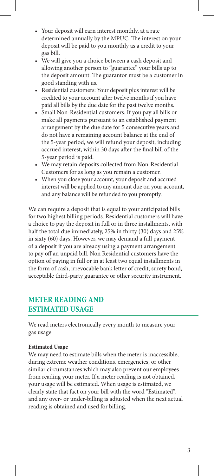- Your deposit will earn interest monthly, at a rate determined annually by the MPUC. The interest on your deposit will be paid to you monthly as a credit to your gas bill.
- We will give you a choice between a cash deposit and allowing another person to "guarantee" your bills up to the deposit amount. The guarantor must be a customer in good standing with us.
- Residential customers: Your deposit plus interest will be credited to your account after twelve months if you have paid all bills by the due date for the past twelve months.
- Small Non-Residential customers: If you pay all bills or make all payments pursuant to an established payment arrangement by the due date for 5 consecutive years and do not have a remaining account balance at the end of the 5-year period, we will refund your deposit, including accrued interest, within 30 days after the final bill of the 5-year period is paid.
- We may retain deposits collected from Non-Residential Customers for as long as you remain a customer.
- When you close your account, your deposit and accrued interest will be applied to any amount due on your account, and any balance will be refunded to you promptly.

We can require a deposit that is equal to your anticipated bills for two highest billing periods. Residential customers will have a choice to pay the deposit in full or in three installments, with half the total due immediately, 25% in thirty (30) days and 25% in sixty (60) days. However, we may demand a full payment of a deposit if you are already using a payment arrangement to pay off an unpaid bill. Non Residential customers have the option of paying in full or in at least two equal installments in the form of cash, irrevocable bank letter of credit, surety bond, acceptable third-party guarantee or other security instrument.

## **METER READING AND ESTIMATED USAGE**

We read meters electronically every month to measure your gas usage.

#### **Estimated Usage**

We may need to estimate bills when the meter is inaccessible, during extreme weather conditions, emergencies, or other similar circumstances which may also prevent our employees from reading your meter. If a meter reading is not obtained, your usage will be estimated. When usage is estimated, we clearly state that fact on your bill with the word "Estimated", and any over- or under-billing is adjusted when the next actual reading is obtained and used for billing.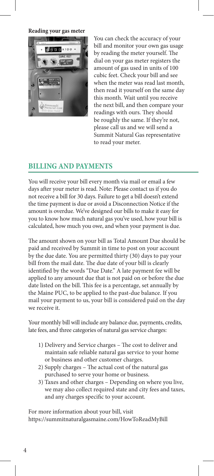**Reading your gas meter**



You can check the accuracy of your bill and monitor your own gas usage by reading the meter yourself. The dial on your gas meter registers the amount of gas used in units of 100 cubic feet. Check your bill and see when the meter was read last month, then read it yourself on the same day this month. Wait until you receive the next bill, and then compare your readings with ours. They should be roughly the same. If they're not, please call us and we will send a Summit Natural Gas representative to read your meter.

## **BILLING AND PAYMENTS**

You will receive your bill every month via mail or email a few days after your meter is read. Note: Please contact us if you do not receive a bill for 30 days. Failure to get a bill doesn't extend the time payment is due or avoid a Disconnection Notice if the amount is overdue. We've designed our bills to make it easy for you to know how much natural gas you've used, how your bill is calculated, how much you owe, and when your payment is due.

The amount shown on your bill as Total Amount Due should be paid and received by Summit in time to post on your account by the due date. You are permitted thirty (30) days to pay your bill from the mail date. The due date of your bill is clearly identified by the words "Due Date." A late payment fee will be applied to any amount due that is not paid on or before the due date listed on the bill. This fee is a percentage, set annually by the Maine PUC, to be applied to the past-due balance. If you mail your payment to us, your bill is considered paid on the day we receive it.

Your monthly bill will include any balance due, payments, credits, late fees, and three categories of natural gas service charges:

- 1) Delivery and Service charges The cost to deliver and maintain safe reliable natural gas service to your home or business and other customer charges.
- 2) Supply charges The actual cost of the natural gas purchased to serve your home or business.
- 3) Taxes and other charges Depending on where you live, we may also collect required state and city fees and taxes, and any charges specific to your account.

For more information about your bill, visit https://summitnaturalgasmaine.com/HowToReadMyBill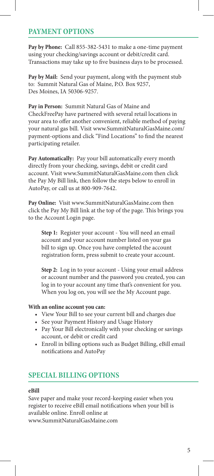## **PAYMENT OPTIONS**

**Pay by Phone:** Call 855-382-5431 to make a one-time payment using your checking/savings account or debit/credit card. Transactions may take up to five business days to be processed.

**Pay by Mail:** Send your payment, along with the payment stub to: Summit Natural Gas of Maine, P.O. Box 9257, Des Moines, IA 50306-9257.

**Pay in Person:** Summit Natural Gas of Maine and CheckFreePay have partnered with several retail locations in your area to offer another convenient, reliable method of paying your natural gas bill. Visit www.SummitNaturalGasMaine.com/ payment-options and click "Find Locations" to find the nearest participating retailer.

**Pay Automatically:** Pay your bill automatically every month directly from your checking, savings, debit or credit card account. Visit www.SummitNaturalGasMaine.com then click the Pay My Bill link, then follow the steps below to enroll in AutoPay, or call us at 800-909-7642.

**Pay Online:** Visit www.SummitNaturalGasMaine.com then click the Pay My Bill link at the top of the page. This brings you to the Account Login page.

**Step 1:** Register your account - You will need an email account and your account number listed on your gas bill to sign up. Once you have completed the account registration form, press submit to create your account.

**Step 2:** Log in to your account - Using your email address or account number and the password you created, you can log in to your account any time that's convenient for you. When you log on, you will see the My Account page.

#### **With an online account you can:**

- View Your Bill to see your current bill and charges due
- See your Payment History and Usage History
- Pay Your Bill electronically with your checking or savings account, or debit or credit card
- Enroll in billing options such as Budget Billing, eBill email notifications and AutoPay

## **SPECIAL BILLING OPTIONS**

#### **eBill**

Save paper and make your record-keeping easier when you register to receive eBill email notifications when your bill is available online. Enroll online at www.SummitNaturalGasMaine.com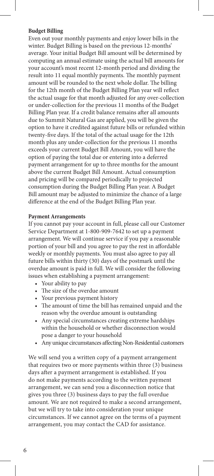#### **Budget Billing**

Even out your monthly payments and enjoy lower bills in the winter. Budget Billing is based on the previous 12-months' average. Your initial Budget Bill amount will be determined by computing an annual estimate using the actual bill amounts for your account's most recent 12-month period and dividing the result into 11 equal monthly payments. The monthly payment amount will be rounded to the next whole dollar. The billing for the 12th month of the Budget Billing Plan year will reflect the actual usage for that month adjusted for any over-collection or under-collection for the previous 11 months of the Budget Billing Plan year. If a credit balance remains after all amounts due to Summit Natural Gas are applied, you will be given the option to have it credited against future bills or refunded within twenty-five days. If the total of the actual usage for the 12th month plus any under-collection for the previous 11 months exceeds your current Budget Bill Amount, you will have the option of paying the total due or entering into a deferred payment arrangement for up to three months for the amount above the current Budget Bill Amount. Actual consumption and pricing will be compared periodically to projected consumption during the Budget Billing Plan year. A Budget Bill amount may be adjusted to minimize the chance of a large difference at the end of the Budget Billing Plan year.

#### **Payment Arrangements**

If you cannot pay your account in full, please call our Customer Service Department at 1-800-909-7642 to set up a payment arrangement. We will continue service if you pay a reasonable portion of your bill and you agree to pay the rest in affordable weekly or monthly payments. You must also agree to pay all future bills within thirty (30) days of the postmark until the overdue amount is paid in full. We will consider the following issues when establishing a payment arrangement:

- Your ability to pay
- The size of the overdue amount
- Your previous payment history
- The amount of time the bill has remained unpaid and the reason why the overdue amount is outstanding
- Any special circumstances creating extreme hardships within the household or whether disconnection would pose a danger to your household
- Any unique circumstances affecting Non-Residential customers

We will send you a written copy of a payment arrangement that requires two or more payments within three (3) business days after a payment arrangement is established. If you do not make payments according to the written payment arrangement, we can send you a disconnection notice that gives you three (3) business days to pay the full overdue amount. We are not required to make a second arrangement, but we will try to take into consideration your unique circumstances. If we cannot agree on the terms of a payment arrangement, you may contact the CAD for assistance.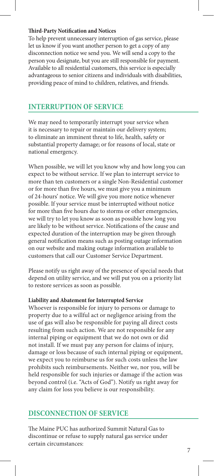#### **Third-Party Notification and Notices**

To help prevent unnecessary interruption of gas service, please let us know if you want another person to get a copy of any disconnection notice we send you. We will send a copy to the person you designate, but you are still responsible for payment. Available to all residential customers, this service is especially advantageous to senior citizens and individuals with disabilities, providing peace of mind to children, relatives, and friends.

## **INTERRUPTION OF SERVICE**

We may need to temporarily interrupt your service when it is necessary to repair or maintain our delivery system; to eliminate an imminent threat to life, health, safety or substantial property damage; or for reasons of local, state or national emergency.

When possible, we will let you know why and how long you can expect to be without service. If we plan to interrupt service to more than ten customers or a single Non-Residential customer or for more than five hours, we must give you a minimum of 24-hours' notice. We will give you more notice whenever possible. If your service must be interrupted without notice for more than five hours due to storms or other emergencies, we will try to let you know as soon as possible how long you are likely to be without service. Notifications of the cause and expected duration of the interruption may be given through general notification means such as posting outage information on our website and making outage information available to customers that call our Customer Service Department.

Please notify us right away of the presence of special needs that depend on utility service, and we will put you on a priority list to restore services as soon as possible.

#### **Liability and Abatement for Interrupted Service**

Whoever is responsible for injury to persons or damage to property due to a willful act or negligence arising from the use of gas will also be responsible for paying all direct costs resulting from such action. We are not responsible for any internal piping or equipment that we do not own or did not install. If we must pay any person for claims of injury, damage or loss because of such internal piping or equipment, we expect you to reimburse us for such costs unless the law prohibits such reimbursements. Neither we, nor you, will be held responsible for such injuries or damage if the action was beyond control (i.e. "Acts of God"). Notify us right away for any claim for loss you believe is our responsibility.

## **DISCONNECTION OF SERVICE**

The Maine PUC has authorized Summit Natural Gas to discontinue or refuse to supply natural gas service under certain circumstances: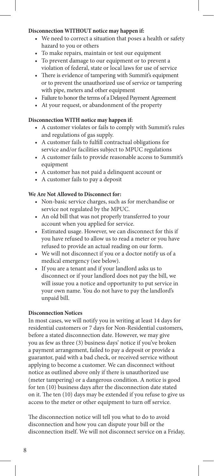#### **Disconnection WITHOUT notice may happen if:**

- We need to correct a situation that poses a health or safety hazard to you or others
- To make repairs, maintain or test our equipment
- To prevent damage to our equipment or to prevent a violation of federal, state or local laws for use of service
- There is evidence of tampering with Summit's equipment or to prevent the unauthorized use of service or tampering with pipe, meters and other equipment
- Failure to honor the terms of a Delayed Payment Agreement
- At your request, or abandonment of the property

#### **Disconnection WITH notice may happen if:**

- A customer violates or fails to comply with Summit's rules and regulations of gas supply.
- A customer fails to fulfill contractual obligations for service and/or facilities subject to MPUC regulations
- A customer fails to provide reasonable access to Summit's equipment
- A customer has not paid a delinquent account or
- A customer fails to pay a deposit

### **We Are Not Allowed to Disconnect for:**

- Non-basic service charges, such as for merchandise or service not regulated by the MPUC.
- An old bill that was not properly transferred to your account when you applied for service.
- Estimated usage. However, we can disconnect for this if you have refused to allow us to read a meter or you have refused to provide an actual reading on our form.
- We will not disconnect if you or a doctor notify us of a medical emergency (see below).
- If you are a tenant and if your landlord asks us to disconnect or if your landlord does not pay the bill, we will issue you a notice and opportunity to put service in your own name. You do not have to pay the landlord's unpaid bill.

#### **Disconnection Notices**

In most cases, we will notify you in writing at least 14 days for residential customers or 7 days for Non-Residential customers, before a stated disconnection date. However, we may give you as few as three (3) business days' notice if you've broken a payment arrangement, failed to pay a deposit or provide a guarantor, paid with a bad check, or received service without applying to become a customer. We can disconnect without notice as outlined above only if there is unauthorized use (meter tampering) or a dangerous condition. A notice is good for ten (10) business days after the disconnection date stated on it. The ten (10) days may be extended if you refuse to give us access to the meter or other equipment to turn off service.

The disconnection notice will tell you what to do to avoid disconnection and how you can dispute your bill or the disconnection itself. We will not disconnect service on a Friday,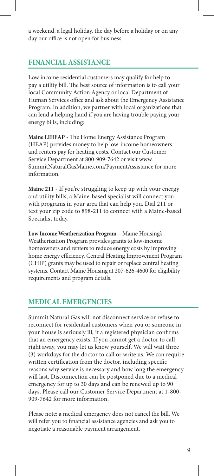a weekend, a legal holiday, the day before a holiday or on any day our office is not open for business.

## **FINANCIAL ASSISTANCE**

Low income residential customers may qualify for help to pay a utility bill. The best source of information is to call your local Community Action Agency or local Department of Human Services office and ask about the Emergency Assistance Program. In addition, we partner with local organizations that can lend a helping hand if you are having trouble paying your energy bills, including:

**Maine LIHEAP** - The Home Energy Assistance Program (HEAP) provides money to help low-income homeowners and renters pay for heating costs. Contact our Customer Service Department at 800-909-7642 or visit www. SummitNaturalGasMaine.com/PaymentAssistance for more information.

**Maine 211** - If you're struggling to keep up with your energy and utility bills, a Maine-based specialist will connect you with programs in your area that can help you. Dial 211 or text your zip code to 898-211 to connect with a Maine-based Specialist today.

**Low Income Weatherization Program** – Maine Housing's Weatherization Program provides grants to low-income homeowners and renters to reduce energy costs by improving home energy efficiency. Central Heating Improvement Program (CHIP) grants may be used to repair or replace central heating systems. Contact Maine Housing at 207-626-4600 for eligibility requirements and program details.

## **MEDICAL EMERGENCIES**

Summit Natural Gas will not disconnect service or refuse to reconnect for residential customers when you or someone in your house is seriously ill, if a registered physician confirms that an emergency exists. If you cannot get a doctor to call right away, you may let us know yourself. We will wait three (3) workdays for the doctor to call or write us. We can require written certification from the doctor, including specific reasons why service is necessary and how long the emergency will last. Disconnection can be postponed due to a medical emergency for up to 30 days and can be renewed up to 90 days. Please call our Customer Service Department at 1-800- 909-7642 for more information.

Please note: a medical emergency does not cancel the bill. We will refer you to financial assistance agencies and ask you to negotiate a reasonable payment arrangement.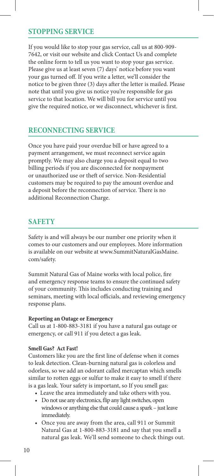## **STOPPING SERVICE**

If you would like to stop your gas service, call us at 800-909- 7642, or visit our website and click Contact Us and complete the online form to tell us you want to stop your gas service. Please give us at least seven (7) days' notice before you want your gas turned off. If you write a letter, we'll consider the notice to be given three (3) days after the letter is mailed. Please note that until you give us notice you're responsible for gas service to that location. We will bill you for service until you give the required notice, or we disconnect, whichever is first.

## **RECONNECTING SERVICE**

Once you have paid your overdue bill or have agreed to a payment arrangement, we must reconnect service again promptly. We may also charge you a deposit equal to two billing periods if you are disconnected for nonpayment or unauthorized use or theft of service. Non-Residential customers may be required to pay the amount overdue and a deposit before the reconnection of service. There is no additional Reconnection Charge.

## **SAFETY**

Safety is and will always be our number one priority when it comes to our customers and our employees. More information is available on our website at www.SummitNaturalGasMaine. com/safety.

Summit Natural Gas of Maine works with local police, fire and emergency response teams to ensure the continued safety of your community. This includes conducting training and seminars, meeting with local officials, and reviewing emergency response plans.

#### **Reporting an Outage or Emergency**

Call us at 1-800-883-3181 if you have a natural gas outage or emergency, or call 911 if you detect a gas leak.

#### **Smell Gas? Act Fast!**

Customers like you are the first line of defense when it comes to leak detection. Clean-burning natural gas is colorless and odorless, so we add an odorant called mercaptan which smells similar to rotten eggs or sulfur to make it easy to smell if there is a gas leak. Your safety is important, so If you smell gas:

- Leave the area immediately and take others with you.
- Do not use any electronics, flip any light switches, open windows or anything else that could cause a spark – just leave immediately.
- Once you are away from the area, call 911 or Summit Natural Gas at 1-800-883-3181 and say that you smell a natural gas leak. We'll send someone to check things out.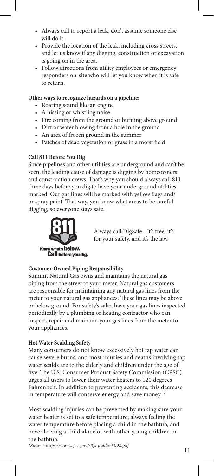- Always call to report a leak, don't assume someone else will do it.
- Provide the location of the leak, including cross streets, and let us know if any digging, construction or excavation is going on in the area.
- Follow directions from utility employees or emergency responders on-site who will let you know when it is safe to return.

#### **Other ways to recognize hazards on a pipeline:**

- Roaring sound like an engine
- A hissing or whistling noise
- Fire coming from the ground or burning above ground
- Dirt or water blowing from a hole in the ground
- An area of frozen ground in the summer
- Patches of dead vegetation or grass in a moist field

#### **Call 811 Before You Dig**

Since pipelines and other utilities are underground and can't be seen, the leading cause of damage is digging by homeowners and construction crews. That's why you should always call 811 three days before you dig to have your underground utilities marked. Our gas lines will be marked with yellow flags and/ or spray paint. That way, you know what areas to be careful digging, so everyone stays safe.



Always call DigSafe - It's free, it's for your safety, and it's the law.

#### **Customer-Owned Piping Responsibility**

Summit Natural Gas owns and maintains the natural gas piping from the street to your meter. Natural gas customers are responsible for maintaining any natural gas lines from the meter to your natural gas appliances. These lines may be above or below ground. For safety's sake, have your gas lines inspected periodically by a plumbing or heating contractor who can inspect, repair and maintain your gas lines from the meter to your appliances.

#### **Hot Water Scalding Safety**

Many consumers do not know excessively hot tap water can cause severe burns, and most injuries and deaths involving tap water scalds are to the elderly and children under the age of five. The U.S. Consumer Product Safety Commission (CPSC) urges all users to lower their water heaters to 120 degrees Fahrenheit. In addition to preventing accidents, this decrease in temperature will conserve energy and save money. \*

Most scalding injuries can be prevented by making sure your water heater is set to a safe temperature, always feeling the water temperature before placing a child in the bathtub, and never leaving a child alone or with other young children in the bathtub.

*\*Source: https://www.cpsc.gov/s3fs-public/5098.pdf* 11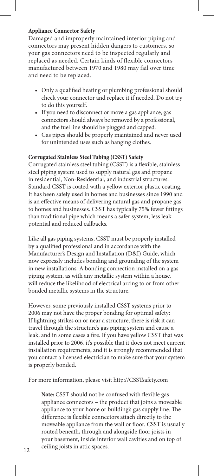#### **Appliance Connector Safety**

Damaged and improperly maintained interior piping and connectors may present hidden dangers to customers, so your gas connectors need to be inspected regularly and replaced as needed. Certain kinds of flexible connectors manufactured between 1970 and 1980 may fail over time and need to be replaced.

- Only a qualified heating or plumbing professional should check your connector and replace it if needed. Do not try to do this yourself.
- If you need to disconnect or move a gas appliance, gas connectors should always be removed by a professional, and the fuel line should be plugged and capped.
- Gas pipes should be properly maintained and never used for unintended uses such as hanging clothes.

#### **Corrugated Stainless Steel Tubing (CSST) Safety**

Corrugated stainless steel tubing (CSST) is a flexible, stainless steel piping system used to supply natural gas and propane in residential, Non-Residential, and industrial structures. Standard CSST is coated with a yellow exterior plastic coating. It has been safely used in homes and businesses since 1990 and is an effective means of delivering natural gas and propane gas to homes and businesses. CSST has typically 75% fewer fittings than traditional pipe which means a safer system, less leak potential and reduced callbacks.

Like all gas piping systems, CSST must be properly installed by a qualified professional and in accordance with the Manufacturer's Design and Installation (D&I) Guide, which now expressly includes bonding and grounding of the system in new installations. A bonding connection installed on a gas piping system, as with any metallic system within a house, will reduce the likelihood of electrical arcing to or from other bonded metallic systems in the structure.

However, some previously installed CSST systems prior to 2006 may not have the proper bonding for optimal safety: If lightning strikes on or near a structure, there is risk it can travel through the structure's gas piping system and cause a leak, and in some cases a fire. If you have yellow CSST that was installed prior to 2006, it's possible that it does not meet current installation requirements, and it is strongly recommended that you contact a licensed electrician to make sure that your system is properly bonded.

For more information, please visit http://CSSTsafety.com

**Note:** CSST should not be confused with flexible gas appliance connectors – the product that joins a moveable appliance to your home or building's gas supply line. The difference is flexible connectors attach directly to the moveable appliance from the wall or floor. CSST is usually routed beneath, through and alongside floor joists in your basement, inside interior wall cavities and on top of 12 ceiling joists in attic spaces.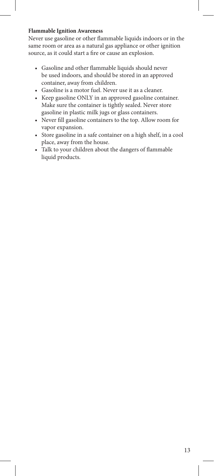#### **Flammable Ignition Awareness**

Never use gasoline or other flammable liquids indoors or in the same room or area as a natural gas appliance or other ignition source, as it could start a fire or cause an explosion.

- Gasoline and other flammable liquids should never be used indoors, and should be stored in an approved container, away from children.
- Gasoline is a motor fuel. Never use it as a cleaner.
- Keep gasoline ONLY in an approved gasoline container. Make sure the container is tightly sealed. Never store gasoline in plastic milk jugs or glass containers.
- Never fill gasoline containers to the top. Allow room for vapor expansion.
- Store gasoline in a safe container on a high shelf, in a cool place, away from the house.
- Talk to your children about the dangers of flammable liquid products.